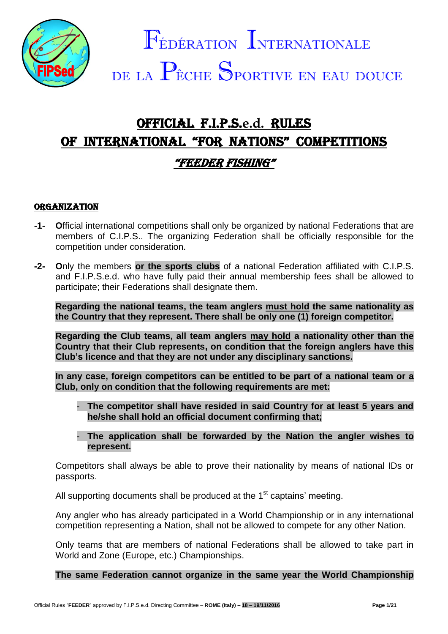

# OFFICIAL F.I.P.S.**e.d.** RULES OF INTERNATIONAL "FOR NATIONS" COMPETITIONS "FEEDER FISHING"

# **ORGANIZATION**

- **-1- O**fficial international competitions shall only be organized by national Federations that are members of C.I.P.S.. The organizing Federation shall be officially responsible for the competition under consideration.
- **-2- O**nly the members **or the sports clubs** of a national Federation affiliated with C.I.P.S. and F.I.P.S.e.d. who have fully paid their annual membership fees shall be allowed to participate; their Federations shall designate them.

**Regarding the national teams, the team anglers must hold the same nationality as the Country that they represent. There shall be only one (1) foreign competitor.**

**Regarding the Club teams, all team anglers may hold a nationality other than the Country that their Club represents, on condition that the foreign anglers have this Club's licence and that they are not under any disciplinary sanctions.**

**In any case, foreign competitors can be entitled to be part of a national team or a Club, only on condition that the following requirements are met:**

- The competitor shall have resided in said Country for at least 5 years and **he/she shall hold an official document confirming that;**
- **The application shall be forwarded by the Nation the angler wishes to represent.**

Competitors shall always be able to prove their nationality by means of national IDs or passports.

All supporting documents shall be produced at the 1<sup>st</sup> captains' meeting.

Any angler who has already participated in a World Championship or in any international competition representing a Nation, shall not be allowed to compete for any other Nation.

Only teams that are members of national Federations shall be allowed to take part in World and Zone (Europe, etc.) Championships.

**The same Federation cannot organize in the same year the World Championship**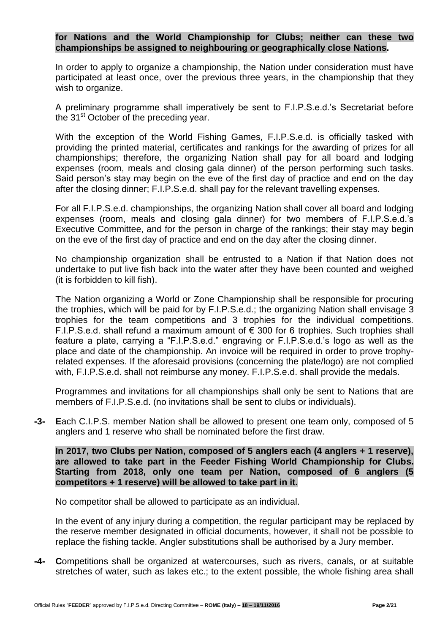## **for Nations and the World Championship for Clubs; neither can these two championships be assigned to neighbouring or geographically close Nations.**

In order to apply to organize a championship, the Nation under consideration must have participated at least once, over the previous three years, in the championship that they wish to organize.

A preliminary programme shall imperatively be sent to F.I.P.S.e.d.'s Secretariat before the  $31<sup>st</sup>$  October of the preceding year.

With the exception of the World Fishing Games, F.I.P.S.e.d. is officially tasked with providing the printed material, certificates and rankings for the awarding of prizes for all championships; therefore, the organizing Nation shall pay for all board and lodging expenses (room, meals and closing gala dinner) of the person performing such tasks. Said person's stay may begin on the eve of the first day of practice and end on the day after the closing dinner; F.I.P.S.e.d. shall pay for the relevant travelling expenses.

For all F.I.P.S.e.d. championships, the organizing Nation shall cover all board and lodging expenses (room, meals and closing gala dinner) for two members of F.I.P.S.e.d.'s Executive Committee, and for the person in charge of the rankings; their stay may begin on the eve of the first day of practice and end on the day after the closing dinner.

No championship organization shall be entrusted to a Nation if that Nation does not undertake to put live fish back into the water after they have been counted and weighed (it is forbidden to kill fish).

The Nation organizing a World or Zone Championship shall be responsible for procuring the trophies, which will be paid for by F.I.P.S.e.d.; the organizing Nation shall envisage 3 trophies for the team competitions and 3 trophies for the individual competitions. F.I.P.S.e.d. shall refund a maximum amount of  $\epsilon$  300 for 6 trophies. Such trophies shall feature a plate, carrying a "F.I.P.S.e.d." engraving or F.I.P.S.e.d.'s logo as well as the place and date of the championship. An invoice will be required in order to prove trophyrelated expenses. If the aforesaid provisions (concerning the plate/logo) are not complied with, F.I.P.S.e.d. shall not reimburse any money. F.I.P.S.e.d. shall provide the medals.

Programmes and invitations for all championships shall only be sent to Nations that are members of F.I.P.S.e.d. (no invitations shall be sent to clubs or individuals).

**-3- E**ach C.I.P.S. member Nation shall be allowed to present one team only, composed of 5 anglers and 1 reserve who shall be nominated before the first draw.

**In 2017, two Clubs per Nation, composed of 5 anglers each (4 anglers + 1 reserve), are allowed to take part in the Feeder Fishing World Championship for Clubs. Starting from 2018, only one team per Nation, composed of 6 anglers (5 competitors + 1 reserve) will be allowed to take part in it.**

No competitor shall be allowed to participate as an individual.

In the event of any injury during a competition, the regular participant may be replaced by the reserve member designated in official documents, however, it shall not be possible to replace the fishing tackle. Angler substitutions shall be authorised by a Jury member.

**-4- C**ompetitions shall be organized at watercourses, such as rivers, canals, or at suitable stretches of water, such as lakes etc.; to the extent possible, the whole fishing area shall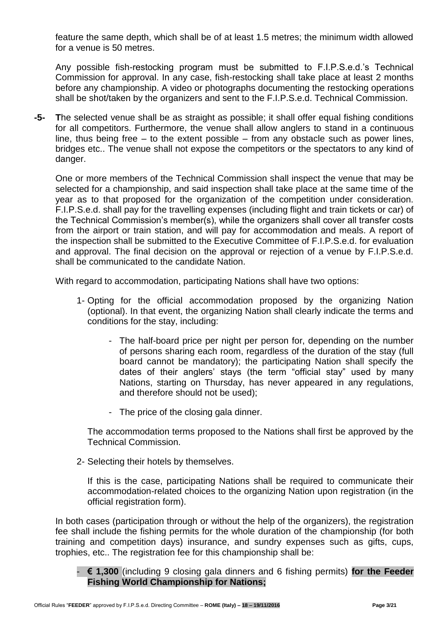feature the same depth, which shall be of at least 1.5 metres; the minimum width allowed for a venue is 50 metres.

Any possible fish-restocking program must be submitted to F.I.P.S.e.d.'s Technical Commission for approval. In any case, fish-restocking shall take place at least 2 months before any championship. A video or photographs documenting the restocking operations shall be shot/taken by the organizers and sent to the F.I.P.S.e.d. Technical Commission.

**-5- T**he selected venue shall be as straight as possible; it shall offer equal fishing conditions for all competitors. Furthermore, the venue shall allow anglers to stand in a continuous line, thus being free  $-$  to the extent possible  $-$  from any obstacle such as power lines, bridges etc.. The venue shall not expose the competitors or the spectators to any kind of danger.

One or more members of the Technical Commission shall inspect the venue that may be selected for a championship, and said inspection shall take place at the same time of the year as to that proposed for the organization of the competition under consideration. F.I.P.S.e.d. shall pay for the travelling expenses (including flight and train tickets or car) of the Technical Commission's member(s), while the organizers shall cover all transfer costs from the airport or train station, and will pay for accommodation and meals. A report of the inspection shall be submitted to the Executive Committee of F.I.P.S.e.d. for evaluation and approval. The final decision on the approval or rejection of a venue by F.I.P.S.e.d. shall be communicated to the candidate Nation.

With regard to accommodation, participating Nations shall have two options:

- 1- Opting for the official accommodation proposed by the organizing Nation (optional). In that event, the organizing Nation shall clearly indicate the terms and conditions for the stay, including:
	- The half-board price per night per person for, depending on the number of persons sharing each room, regardless of the duration of the stay (full board cannot be mandatory); the participating Nation shall specify the dates of their anglers' stays (the term "official stay" used by many Nations, starting on Thursday, has never appeared in any regulations, and therefore should not be used);
	- The price of the closing gala dinner.

The accommodation terms proposed to the Nations shall first be approved by the Technical Commission.

2- Selecting their hotels by themselves.

If this is the case, participating Nations shall be required to communicate their accommodation-related choices to the organizing Nation upon registration (in the official registration form).

In both cases (participation through or without the help of the organizers), the registration fee shall include the fishing permits for the whole duration of the championship (for both training and competition days) insurance, and sundry expenses such as gifts, cups, trophies, etc.. The registration fee for this championship shall be:

- **€ 1,300** (including 9 closing gala dinners and 6 fishing permits) **for the Feeder Fishing World Championship for Nations;**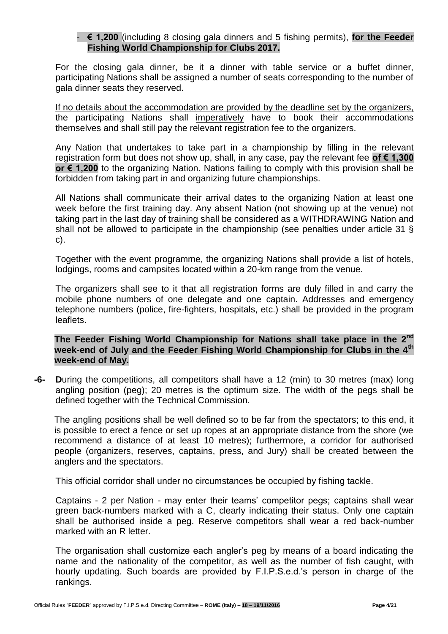## - **€ 1,200** (including 8 closing gala dinners and 5 fishing permits), **for the Feeder Fishing World Championship for Clubs 2017.**

For the closing gala dinner, be it a dinner with table service or a buffet dinner, participating Nations shall be assigned a number of seats corresponding to the number of gala dinner seats they reserved.

If no details about the accommodation are provided by the deadline set by the organizers, the participating Nations shall imperatively have to book their accommodations themselves and shall still pay the relevant registration fee to the organizers.

Any Nation that undertakes to take part in a championship by filling in the relevant registration form but does not show up, shall, in any case, pay the relevant fee **of € 1,300 or € 1,200** to the organizing Nation. Nations failing to comply with this provision shall be forbidden from taking part in and organizing future championships.

All Nations shall communicate their arrival dates to the organizing Nation at least one week before the first training day. Any absent Nation (not showing up at the venue) not taking part in the last day of training shall be considered as a WITHDRAWING Nation and shall not be allowed to participate in the championship (see penalties under article 31 § c).

Together with the event programme, the organizing Nations shall provide a list of hotels, lodgings, rooms and campsites located within a 20-km range from the venue.

The organizers shall see to it that all registration forms are duly filled in and carry the mobile phone numbers of one delegate and one captain. Addresses and emergency telephone numbers (police, fire-fighters, hospitals, etc.) shall be provided in the program leaflets.

**The Feeder Fishing World Championship for Nations shall take place in the 2nd week-end of July and the Feeder Fishing World Championship for Clubs in the 4th week-end of May.**

**-6- D**uring the competitions, all competitors shall have a 12 (min) to 30 metres (max) long angling position (peg); 20 metres is the optimum size. The width of the pegs shall be defined together with the Technical Commission.

The angling positions shall be well defined so to be far from the spectators; to this end, it is possible to erect a fence or set up ropes at an appropriate distance from the shore (we recommend a distance of at least 10 metres); furthermore, a corridor for authorised people (organizers, reserves, captains, press, and Jury) shall be created between the anglers and the spectators.

This official corridor shall under no circumstances be occupied by fishing tackle.

Captains - 2 per Nation - may enter their teams' competitor pegs; captains shall wear green back-numbers marked with a C, clearly indicating their status. Only one captain shall be authorised inside a peg. Reserve competitors shall wear a red back-number marked with an R letter.

The organisation shall customize each angler's peg by means of a board indicating the name and the nationality of the competitor, as well as the number of fish caught, with hourly updating. Such boards are provided by F.I.P.S.e.d.'s person in charge of the rankings.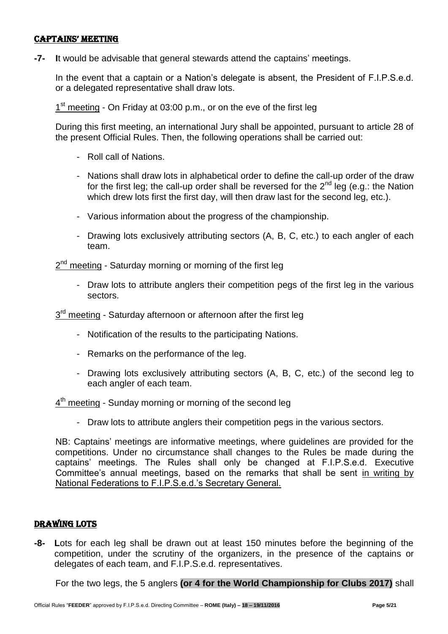#### captains' MEETING

**-7- I**t would be advisable that general stewards attend the captains' meetings.

In the event that a captain or a Nation's delegate is absent, the President of F.I.P.S.e.d. or a delegated representative shall draw lots.

1<sup>st</sup> meeting - On Friday at 03:00 p.m., or on the eve of the first leg

During this first meeting, an international Jury shall be appointed, pursuant to article 28 of the present Official Rules. Then, the following operations shall be carried out:

- Roll call of Nations.
- Nations shall draw lots in alphabetical order to define the call-up order of the draw for the first leg; the call-up order shall be reversed for the  $2^{nd}$  leg (e.g.: the Nation which drew lots first the first day, will then draw last for the second leg, etc.).
- Various information about the progress of the championship.
- Drawing lots exclusively attributing sectors (A, B, C, etc.) to each angler of each team.

2<sup>nd</sup> meeting - Saturday morning or morning of the first leg

- Draw lots to attribute anglers their competition pegs of the first leg in the various sectors.

3<sup>rd</sup> meeting - Saturday afternoon or afternoon after the first leg

- Notification of the results to the participating Nations.
- Remarks on the performance of the leg.
- Drawing lots exclusively attributing sectors (A, B, C, etc.) of the second leg to each angler of each team.

 $4<sup>th</sup>$  meeting - Sunday morning or morning of the second leg

- Draw lots to attribute anglers their competition pegs in the various sectors.

NB: Captains' meetings are informative meetings, where guidelines are provided for the competitions. Under no circumstance shall changes to the Rules be made during the captains' meetings. The Rules shall only be changed at F.I.P.S.e.d. Executive Committee's annual meetings, based on the remarks that shall be sent in writing by National Federations to F.I.P.S.e.d.'s Secretary General.

# DRAWING LOTS

**-8- L**ots for each leg shall be drawn out at least 150 minutes before the beginning of the competition, under the scrutiny of the organizers, in the presence of the captains or delegates of each team, and F.I.P.S.e.d. representatives.

For the two legs, the 5 anglers **(or 4 for the World Championship for Clubs 2017)** shall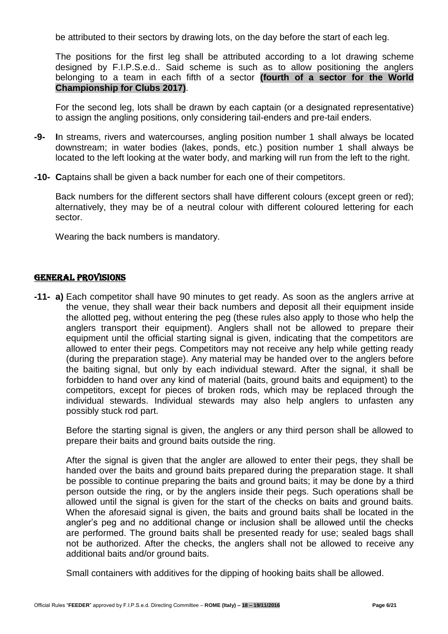be attributed to their sectors by drawing lots, on the day before the start of each leg.

The positions for the first leg shall be attributed according to a lot drawing scheme designed by F.I.P.S.e.d.. Said scheme is such as to allow positioning the anglers belonging to a team in each fifth of a sector **(fourth of a sector for the World Championship for Clubs 2017)**.

For the second leg, lots shall be drawn by each captain (or a designated representative) to assign the angling positions, only considering tail-enders and pre-tail enders.

- **-9- I**n streams, rivers and watercourses, angling position number 1 shall always be located downstream; in water bodies (lakes, ponds, etc.) position number 1 shall always be located to the left looking at the water body, and marking will run from the left to the right.
- **-10- C**aptains shall be given a back number for each one of their competitors.

Back numbers for the different sectors shall have different colours (except green or red); alternatively, they may be of a neutral colour with different coloured lettering for each sector.

Wearing the back numbers is mandatory.

## GENERAL PROVISIONS

**-11- a)** Each competitor shall have 90 minutes to get ready. As soon as the anglers arrive at the venue, they shall wear their back numbers and deposit all their equipment inside the allotted peg, without entering the peg (these rules also apply to those who help the anglers transport their equipment). Anglers shall not be allowed to prepare their equipment until the official starting signal is given, indicating that the competitors are allowed to enter their pegs. Competitors may not receive any help while getting ready (during the preparation stage). Any material may be handed over to the anglers before the baiting signal, but only by each individual steward. After the signal, it shall be forbidden to hand over any kind of material (baits, ground baits and equipment) to the competitors, except for pieces of broken rods, which may be replaced through the individual stewards. Individual stewards may also help anglers to unfasten any possibly stuck rod part.

Before the starting signal is given, the anglers or any third person shall be allowed to prepare their baits and ground baits outside the ring.

After the signal is given that the angler are allowed to enter their pegs, they shall be handed over the baits and ground baits prepared during the preparation stage. It shall be possible to continue preparing the baits and ground baits; it may be done by a third person outside the ring, or by the anglers inside their pegs. Such operations shall be allowed until the signal is given for the start of the checks on baits and ground baits. When the aforesaid signal is given, the baits and ground baits shall be located in the angler's peg and no additional change or inclusion shall be allowed until the checks are performed. The ground baits shall be presented ready for use; sealed bags shall not be authorized. After the checks, the anglers shall not be allowed to receive any additional baits and/or ground baits.

Small containers with additives for the dipping of hooking baits shall be allowed.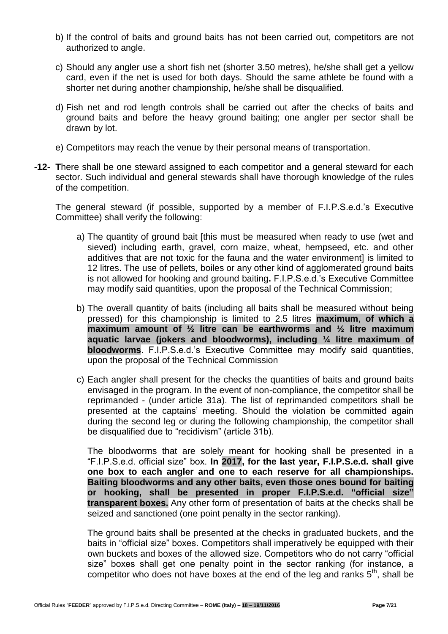- b) If the control of baits and ground baits has not been carried out, competitors are not authorized to angle.
- c) Should any angler use a short fish net (shorter 3.50 metres), he/she shall get a yellow card, even if the net is used for both days. Should the same athlete be found with a shorter net during another championship, he/she shall be disqualified.
- d) Fish net and rod length controls shall be carried out after the checks of baits and ground baits and before the heavy ground baiting; one angler per sector shall be drawn by lot.
- e) Competitors may reach the venue by their personal means of transportation.
- **-12- T**here shall be one steward assigned to each competitor and a general steward for each sector. Such individual and general stewards shall have thorough knowledge of the rules of the competition.

The general steward (if possible, supported by a member of F.I.P.S.e.d.'s Executive Committee) shall verify the following:

- a) The quantity of ground bait [this must be measured when ready to use (wet and sieved) including earth, gravel, corn maize, wheat, hempseed, etc. and other additives that are not toxic for the fauna and the water environment] is limited to 12 litres. The use of pellets, boiles or any other kind of agglomerated ground baits is not allowed for hooking and ground baiting**.** F.I.P.S.e.d.'s Executive Committee may modify said quantities, upon the proposal of the Technical Commission;
- b) The overall quantity of baits (including all baits shall be measured without being pressed) for this championship is limited to 2.5 litres **maximum**, **of which a maximum amount of ½ litre can be earthworms and ½ litre maximum aquatic larvae (jokers and bloodworms), including ¼ litre maximum of bloodworms**. F.I.P.S.e.d.'s Executive Committee may modify said quantities, upon the proposal of the Technical Commission
- c) Each angler shall present for the checks the quantities of baits and ground baits envisaged in the program. In the event of non-compliance, the competitor shall be reprimanded - (under article 31a). The list of reprimanded competitors shall be presented at the captains' meeting. Should the violation be committed again during the second leg or during the following championship, the competitor shall be disqualified due to "recidivism" (article 31b).

The bloodworms that are solely meant for hooking shall be presented in a "F.I.P.S.e.d. official size" box. **In 2017, for the last year, F.I.P.S.e.d. shall give one box to each angler and one to each reserve for all championships. Baiting bloodworms and any other baits, even those ones bound for baiting or hooking, shall be presented in proper F.I.P.S.e.d. "official size" transparent boxes.** Any other form of presentation of baits at the checks shall be seized and sanctioned (one point penalty in the sector ranking).

The ground baits shall be presented at the checks in graduated buckets, and the baits in "official size" boxes. Competitors shall imperatively be equipped with their own buckets and boxes of the allowed size. Competitors who do not carry "official size" boxes shall get one penalty point in the sector ranking (for instance, a competitor who does not have boxes at the end of the leg and ranks  $5<sup>th</sup>$ , shall be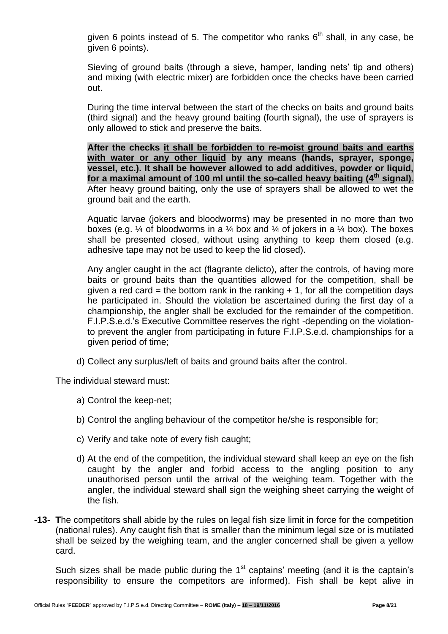given 6 points instead of 5. The competitor who ranks  $6<sup>th</sup>$  shall, in any case, be given 6 points).

Sieving of ground baits (through a sieve, hamper, landing nets' tip and others) and mixing (with electric mixer) are forbidden once the checks have been carried out.

During the time interval between the start of the checks on baits and ground baits (third signal) and the heavy ground baiting (fourth signal), the use of sprayers is only allowed to stick and preserve the baits.

**After the checks it shall be forbidden to re-moist ground baits and earths with water or any other liquid by any means (hands, sprayer, sponge, vessel, etc.). It shall be however allowed to add additives, powder or liquid, for a maximal amount of 100 ml until the so-called heavy baiting (4th signal).** After heavy ground baiting, only the use of sprayers shall be allowed to wet the ground bait and the earth.

Aquatic larvae (jokers and bloodworms) may be presented in no more than two boxes (e.g.  $\frac{1}{4}$  of bloodworms in a  $\frac{1}{4}$  box and  $\frac{1}{4}$  of jokers in a  $\frac{1}{4}$  box). The boxes shall be presented closed, without using anything to keep them closed (e.g. adhesive tape may not be used to keep the lid closed).

Any angler caught in the act (flagrante delicto), after the controls, of having more baits or ground baits than the quantities allowed for the competition, shall be given a red card = the bottom rank in the ranking  $+ 1$ , for all the competition days he participated in. Should the violation be ascertained during the first day of a championship, the angler shall be excluded for the remainder of the competition. F.I.P.S.e.d.'s Executive Committee reserves the right -depending on the violationto prevent the angler from participating in future F.I.P.S.e.d. championships for a given period of time;

d) Collect any surplus/left of baits and ground baits after the control.

The individual steward must:

- a) Control the keep-net;
- b) Control the angling behaviour of the competitor he/she is responsible for;
- c) Verify and take note of every fish caught;
- d) At the end of the competition, the individual steward shall keep an eye on the fish caught by the angler and forbid access to the angling position to any unauthorised person until the arrival of the weighing team. Together with the angler, the individual steward shall sign the weighing sheet carrying the weight of the fish.
- **-13- T**he competitors shall abide by the rules on legal fish size limit in force for the competition (national rules). Any caught fish that is smaller than the minimum legal size or is mutilated shall be seized by the weighing team, and the angler concerned shall be given a yellow card.

Such sizes shall be made public during the  $1<sup>st</sup>$  captains' meeting (and it is the captain's responsibility to ensure the competitors are informed). Fish shall be kept alive in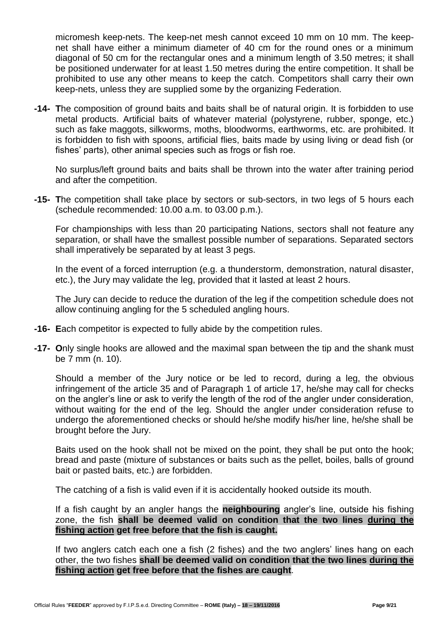micromesh keep-nets. The keep-net mesh cannot exceed 10 mm on 10 mm. The keepnet shall have either a minimum diameter of 40 cm for the round ones or a minimum diagonal of 50 cm for the rectangular ones and a minimum length of 3.50 metres; it shall be positioned underwater for at least 1.50 metres during the entire competition. It shall be prohibited to use any other means to keep the catch. Competitors shall carry their own keep-nets, unless they are supplied some by the organizing Federation.

**-14- T**he composition of ground baits and baits shall be of natural origin. It is forbidden to use metal products. Artificial baits of whatever material (polystyrene, rubber, sponge, etc.) such as fake maggots, silkworms, moths, bloodworms, earthworms, etc. are prohibited. It is forbidden to fish with spoons, artificial flies, baits made by using living or dead fish (or fishes' parts), other animal species such as frogs or fish roe.

No surplus/left ground baits and baits shall be thrown into the water after training period and after the competition.

**-15- T**he competition shall take place by sectors or sub-sectors, in two legs of 5 hours each (schedule recommended: 10.00 a.m. to 03.00 p.m.).

For championships with less than 20 participating Nations, sectors shall not feature any separation, or shall have the smallest possible number of separations. Separated sectors shall imperatively be separated by at least 3 pegs.

In the event of a forced interruption (e.g. a thunderstorm, demonstration, natural disaster, etc.), the Jury may validate the leg, provided that it lasted at least 2 hours.

The Jury can decide to reduce the duration of the leg if the competition schedule does not allow continuing angling for the 5 scheduled angling hours.

- **-16- E**ach competitor is expected to fully abide by the competition rules.
- **-17- O**nly single hooks are allowed and the maximal span between the tip and the shank must be 7 mm (n. 10).

Should a member of the Jury notice or be led to record, during a leg, the obvious infringement of the article 35 and of Paragraph 1 of article 17, he/she may call for checks on the angler's line or ask to verify the length of the rod of the angler under consideration, without waiting for the end of the leg. Should the angler under consideration refuse to undergo the aforementioned checks or should he/she modify his/her line, he/she shall be brought before the Jury.

Baits used on the hook shall not be mixed on the point, they shall be put onto the hook; bread and paste (mixture of substances or baits such as the pellet, boiles, balls of ground bait or pasted baits, etc.) are forbidden.

The catching of a fish is valid even if it is accidentally hooked outside its mouth.

If a fish caught by an angler hangs the **neighbouring** angler's line, outside his fishing zone, the fish **shall be deemed valid on condition that the two lines during the fishing action get free before that the fish is caught.**

If two anglers catch each one a fish (2 fishes) and the two anglers' lines hang on each other, the two fishes **shall be deemed valid on condition that the two lines during the fishing action get free before that the fishes are caught**.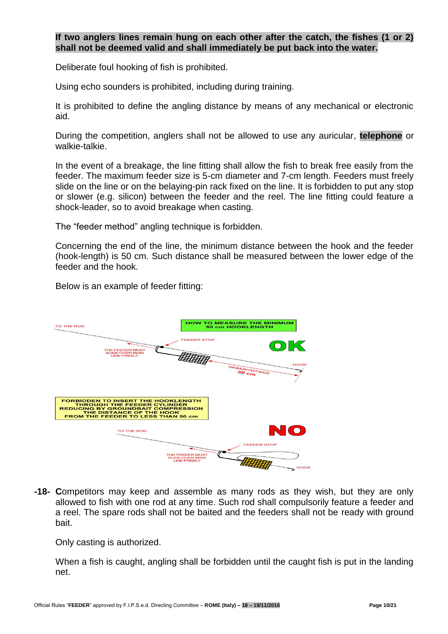## **If two anglers lines remain hung on each other after the catch, the fishes (1 or 2) shall not be deemed valid and shall immediately be put back into the water.**

Deliberate foul hooking of fish is prohibited.

Using echo sounders is prohibited, including during training.

It is prohibited to define the angling distance by means of any mechanical or electronic aid.

During the competition, anglers shall not be allowed to use any auricular, **telephone** or walkie-talkie.

In the event of a breakage, the line fitting shall allow the fish to break free easily from the feeder. The maximum feeder size is 5-cm diameter and 7-cm length. Feeders must freely slide on the line or on the belaying-pin rack fixed on the line. It is forbidden to put any stop or slower (e.g. silicon) between the feeder and the reel. The line fitting could feature a shock-leader, so to avoid breakage when casting.

The "feeder method" angling technique is forbidden.

Concerning the end of the line, the minimum distance between the hook and the feeder (hook-length) is 50 cm. Such distance shall be measured between the lower edge of the feeder and the hook.

Below is an example of feeder fitting:



**-18- C**ompetitors may keep and assemble as many rods as they wish, but they are only allowed to fish with one rod at any time. Such rod shall compulsorily feature a feeder and a reel. The spare rods shall not be baited and the feeders shall not be ready with ground bait.

Only casting is authorized.

When a fish is caught, angling shall be forbidden until the caught fish is put in the landing net.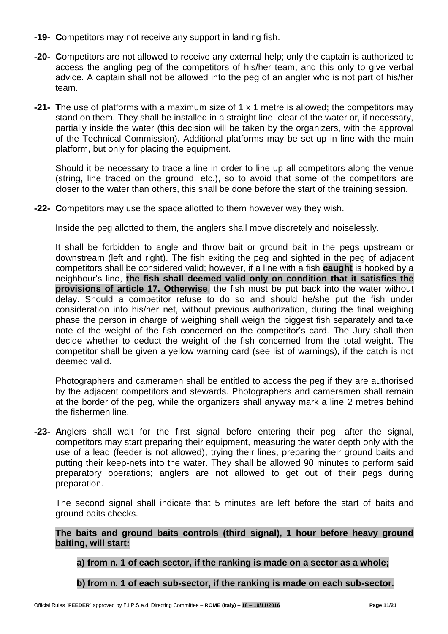- **-19- C**ompetitors may not receive any support in landing fish.
- **-20- C**ompetitors are not allowed to receive any external help; only the captain is authorized to access the angling peg of the competitors of his/her team, and this only to give verbal advice. A captain shall not be allowed into the peg of an angler who is not part of his/her team.
- **-21- T**he use of platforms with a maximum size of 1 x 1 metre is allowed; the competitors may stand on them. They shall be installed in a straight line, clear of the water or, if necessary, partially inside the water (this decision will be taken by the organizers, with the approval of the Technical Commission). Additional platforms may be set up in line with the main platform, but only for placing the equipment.

Should it be necessary to trace a line in order to line up all competitors along the venue (string, line traced on the ground, etc.), so to avoid that some of the competitors are closer to the water than others, this shall be done before the start of the training session.

**-22- C**ompetitors may use the space allotted to them however way they wish.

Inside the peg allotted to them, the anglers shall move discretely and noiselessly.

It shall be forbidden to angle and throw bait or ground bait in the pegs upstream or downstream (left and right). The fish exiting the peg and sighted in the peg of adjacent competitors shall be considered valid; however, if a line with a fish **caught** is hooked by a neighbour's line, **the fish shall deemed valid only on condition that it satisfies the provisions of article 17. Otherwise**, the fish must be put back into the water without delay. Should a competitor refuse to do so and should he/she put the fish under consideration into his/her net, without previous authorization, during the final weighing phase the person in charge of weighing shall weigh the biggest fish separately and take note of the weight of the fish concerned on the competitor's card. The Jury shall then decide whether to deduct the weight of the fish concerned from the total weight. The competitor shall be given a yellow warning card (see list of warnings), if the catch is not deemed valid.

Photographers and cameramen shall be entitled to access the peg if they are authorised by the adjacent competitors and stewards. Photographers and cameramen shall remain at the border of the peg, while the organizers shall anyway mark a line 2 metres behind the fishermen line.

**-23- A**nglers shall wait for the first signal before entering their peg; after the signal, competitors may start preparing their equipment, measuring the water depth only with the use of a lead (feeder is not allowed), trying their lines, preparing their ground baits and putting their keep-nets into the water. They shall be allowed 90 minutes to perform said preparatory operations; anglers are not allowed to get out of their pegs during preparation.

The second signal shall indicate that 5 minutes are left before the start of baits and ground baits checks.

**The baits and ground baits controls (third signal), 1 hour before heavy ground baiting, will start:**

**a) from n. 1 of each sector, if the ranking is made on a sector as a whole;**

**b) from n. 1 of each sub-sector, if the ranking is made on each sub-sector.**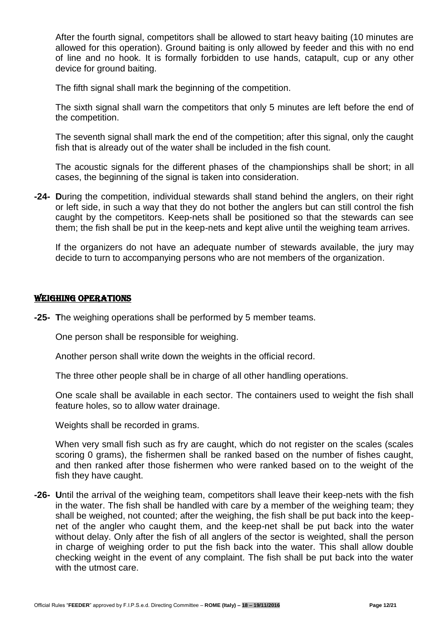After the fourth signal, competitors shall be allowed to start heavy baiting (10 minutes are allowed for this operation). Ground baiting is only allowed by feeder and this with no end of line and no hook. It is formally forbidden to use hands, catapult, cup or any other device for ground baiting.

The fifth signal shall mark the beginning of the competition.

The sixth signal shall warn the competitors that only 5 minutes are left before the end of the competition.

The seventh signal shall mark the end of the competition; after this signal, only the caught fish that is already out of the water shall be included in the fish count.

The acoustic signals for the different phases of the championships shall be short; in all cases, the beginning of the signal is taken into consideration.

**-24- D**uring the competition, individual stewards shall stand behind the anglers, on their right or left side, in such a way that they do not bother the anglers but can still control the fish caught by the competitors. Keep-nets shall be positioned so that the stewards can see them; the fish shall be put in the keep-nets and kept alive until the weighing team arrives.

If the organizers do not have an adequate number of stewards available, the jury may decide to turn to accompanying persons who are not members of the organization.

### WEIGHING OPERATIONS

**-25- T**he weighing operations shall be performed by 5 member teams.

One person shall be responsible for weighing.

Another person shall write down the weights in the official record.

The three other people shall be in charge of all other handling operations.

One scale shall be available in each sector. The containers used to weight the fish shall feature holes, so to allow water drainage.

Weights shall be recorded in grams.

When very small fish such as fry are caught, which do not register on the scales (scales scoring 0 grams), the fishermen shall be ranked based on the number of fishes caught, and then ranked after those fishermen who were ranked based on to the weight of the fish they have caught.

**-26- U**ntil the arrival of the weighing team, competitors shall leave their keep-nets with the fish in the water. The fish shall be handled with care by a member of the weighing team; they shall be weighed, not counted; after the weighing, the fish shall be put back into the keepnet of the angler who caught them, and the keep-net shall be put back into the water without delay. Only after the fish of all anglers of the sector is weighted, shall the person in charge of weighing order to put the fish back into the water. This shall allow double checking weight in the event of any complaint. The fish shall be put back into the water with the utmost care.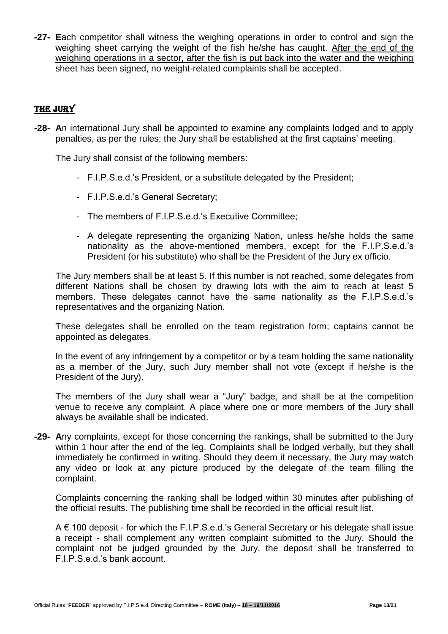**-27- E**ach competitor shall witness the weighing operations in order to control and sign the weighing sheet carrying the weight of the fish he/she has caught. After the end of the weighing operations in a sector, after the fish is put back into the water and the weighing sheet has been signed, no weight-related complaints shall be accepted.

# THE JURY

**-28- A**n international Jury shall be appointed to examine any complaints lodged and to apply penalties, as per the rules; the Jury shall be established at the first captains' meeting.

The Jury shall consist of the following members:

- F.I.P.S.e.d.'s President, or a substitute delegated by the President;
- F.I.P.S.e.d.'s General Secretary;
- The members of F.I.P.S.e.d.'s Executive Committee;
- A delegate representing the organizing Nation, unless he/she holds the same nationality as the above-mentioned members, except for the F.I.P.S.e.d.'s President (or his substitute) who shall be the President of the Jury ex officio.

The Jury members shall be at least 5. If this number is not reached, some delegates from different Nations shall be chosen by drawing lots with the aim to reach at least 5 members. These delegates cannot have the same nationality as the F.I.P.S.e.d.'s representatives and the organizing Nation.

These delegates shall be enrolled on the team registration form; captains cannot be appointed as delegates.

In the event of any infringement by a competitor or by a team holding the same nationality as a member of the Jury, such Jury member shall not vote (except if he/she is the President of the Jury).

The members of the Jury shall wear a "Jury" badge, and shall be at the competition venue to receive any complaint. A place where one or more members of the Jury shall always be available shall be indicated.

**-29- A**ny complaints, except for those concerning the rankings, shall be submitted to the Jury within 1 hour after the end of the leg. Complaints shall be lodged verbally, but they shall immediately be confirmed in writing. Should they deem it necessary, the Jury may watch any video or look at any picture produced by the delegate of the team filling the complaint.

Complaints concerning the ranking shall be lodged within 30 minutes after publishing of the official results. The publishing time shall be recorded in the official result list.

A € 100 deposit - for which the F.I.P.S.e.d.'s General Secretary or his delegate shall issue a receipt - shall complement any written complaint submitted to the Jury. Should the complaint not be judged grounded by the Jury, the deposit shall be transferred to F.I.P.S.e.d.'s bank account.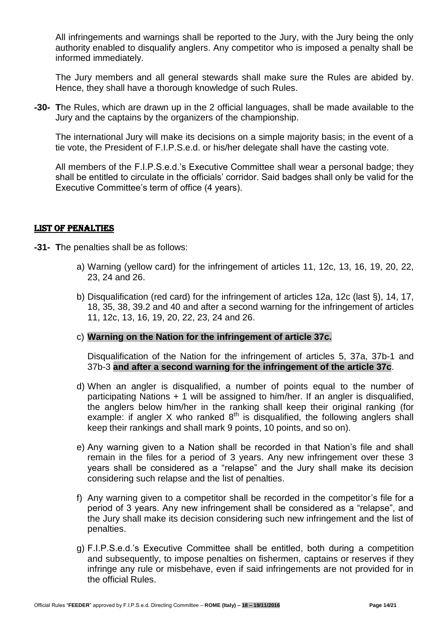All infringements and warnings shall be reported to the Jury, with the Jury being the only authority enabled to disqualify anglers. Any competitor who is imposed a penalty shall be informed immediately.

The Jury members and all general stewards shall make sure the Rules are abided by. Hence, they shall have a thorough knowledge of such Rules.

**-30- T**he Rules, which are drawn up in the 2 official languages, shall be made available to the Jury and the captains by the organizers of the championship.

The international Jury will make its decisions on a simple majority basis; in the event of a tie vote, the President of F.I.P.S.e.d. or his/her delegate shall have the casting vote.

All members of the F.I.P.S.e.d.'s Executive Committee shall wear a personal badge; they shall be entitled to circulate in the officials' corridor. Said badges shall only be valid for the Executive Committee's term of office (4 years).

## LIST OF PENALTIES

- **-31- T**he penalties shall be as follows:
	- a) Warning (yellow card) for the infringement of articles 11, 12c, 13, 16, 19, 20, 22, 23, 24 and 26.
	- b) Disqualification (red card) for the infringement of articles 12a, 12c (last §), 14, 17, 18, 35, 38, 39.2 and 40 and after a second warning for the infringement of articles 11, 12c, 13, 16, 19, 20, 22, 23, 24 and 26.
	- c) **Warning on the Nation for the infringement of article 37c.**

Disqualification of the Nation for the infringement of articles 5, 37a, 37b-1 and 37b-3 **and after a second warning for the infringement of the article 37c**.

- d) When an angler is disqualified, a number of points equal to the number of participating Nations + 1 will be assigned to him/her. If an angler is disqualified, the anglers below him/her in the ranking shall keep their original ranking (for example: if angler X who ranked  $8<sup>th</sup>$  is disqualified, the following anglers shall keep their rankings and shall mark 9 points, 10 points, and so on).
- e) Any warning given to a Nation shall be recorded in that Nation's file and shall remain in the files for a period of 3 years. Any new infringement over these 3 years shall be considered as a "relapse" and the Jury shall make its decision considering such relapse and the list of penalties.
- f) Any warning given to a competitor shall be recorded in the competitor's file for a period of 3 years. Any new infringement shall be considered as a "relapse", and the Jury shall make its decision considering such new infringement and the list of penalties.
- g) F.I.P.S.e.d.'s Executive Committee shall be entitled, both during a competition and subsequently, to impose penalties on fishermen, captains or reserves if they infringe any rule or misbehave, even if said infringements are not provided for in the official Rules.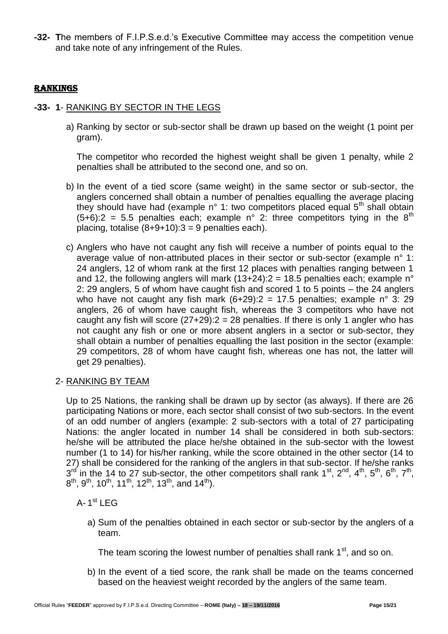**-32- T**he members of F.I.P.S.e.d.'s Executive Committee may access the competition venue and take note of any infringement of the Rules.

# rankings

## **-33- 1**- RANKING BY SECTOR IN THE LEGS

a) Ranking by sector or sub-sector shall be drawn up based on the weight (1 point per gram).

The competitor who recorded the highest weight shall be given 1 penalty, while 2 penalties shall be attributed to the second one, and so on.

- b) In the event of a tied score (same weight) in the same sector or sub-sector, the anglers concerned shall obtain a number of penalties equalling the average placing they should have had (example n° 1: two competitors placed equal  $5<sup>th</sup>$  shall obtain  $(5+6)$ :2 = 5.5 penalties each; example n° 2: three competitors tying in the 8<sup>th</sup> placing, totalise  $(8+9+10):3 = 9$  penalties each).
- c) Anglers who have not caught any fish will receive a number of points equal to the average value of non-attributed places in their sector or sub-sector (example n° 1: 24 anglers, 12 of whom rank at the first 12 places with penalties ranging between 1 and 12, the following anglers will mark (13+24): $2 = 18.5$  penalties each; example n° 2: 29 anglers, 5 of whom have caught fish and scored 1 to 5 points – the 24 anglers who have not caught any fish mark  $(6+29)$ :  $2 = 17.5$  penalties; example n° 3: 29 anglers, 26 of whom have caught fish, whereas the 3 competitors who have not caught any fish will score  $(27+29)$ :  $2 = 28$  penalties. If there is only 1 angler who has not caught any fish or one or more absent anglers in a sector or sub-sector, they shall obtain a number of penalties equalling the last position in the sector (example: 29 competitors, 28 of whom have caught fish, whereas one has not, the latter will get 29 penalties).

#### 2- RANKING BY TEAM

Up to 25 Nations, the ranking shall be drawn up by sector (as always). If there are 26 participating Nations or more, each sector shall consist of two sub-sectors. In the event of an odd number of anglers (example: 2 sub-sectors with a total of 27 participating Nations: the angler located in number 14 shall be considered in both sub-sectors: he/she will be attributed the place he/she obtained in the sub-sector with the lowest number (1 to 14) for his/her ranking, while the score obtained in the other sector (14 to 27) shall be considered for the ranking of the anglers in that sub-sector. If he/she ranks  $3^{rd}$  in the 14 to 27 sub-sector, the other competitors shall rank 1<sup>st</sup>, 2<sup>nd</sup>, 4<sup>th</sup>, 5<sup>th</sup>, 6<sup>th</sup>, 7<sup>th</sup>,  $8^{\text{th}}$ ,  $9^{\text{th}}$ ,  $10^{\text{th}}$ ,  $11^{\text{th}}$ ,  $12^{\text{th}}$ ,  $13^{\text{th}}$ , and  $14^{\text{th}}$ ).

A- $1^{\text{st}}$  LEG

a) Sum of the penalties obtained in each sector or sub-sector by the anglers of a team.

The team scoring the lowest number of penalties shall rank  $1<sup>st</sup>$ , and so on.

b) In the event of a tied score, the rank shall be made on the teams concerned based on the heaviest weight recorded by the anglers of the same team.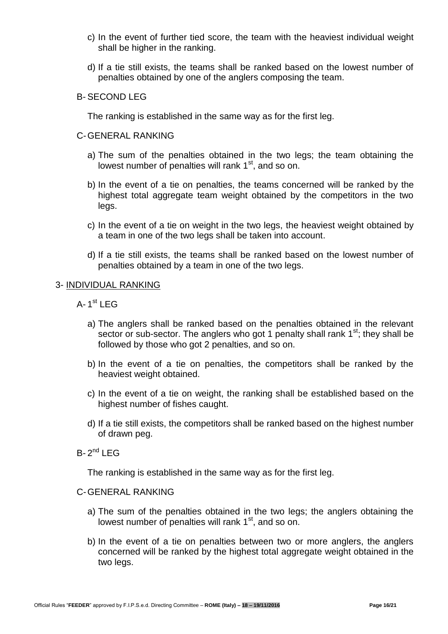- c) In the event of further tied score, the team with the heaviest individual weight shall be higher in the ranking.
- d) If a tie still exists, the teams shall be ranked based on the lowest number of penalties obtained by one of the anglers composing the team.

## B- SECOND LEG

The ranking is established in the same way as for the first leg.

#### C-GENERAL RANKING

- a) The sum of the penalties obtained in the two legs; the team obtaining the lowest number of penalties will rank 1<sup>st</sup>, and so on.
- b) In the event of a tie on penalties, the teams concerned will be ranked by the highest total aggregate team weight obtained by the competitors in the two legs.
- c) In the event of a tie on weight in the two legs, the heaviest weight obtained by a team in one of the two legs shall be taken into account.
- d) If a tie still exists, the teams shall be ranked based on the lowest number of penalties obtained by a team in one of the two legs.

#### 3- INDIVIDUAL RANKING

- A-1<sup>st</sup> LEG
	- a) The anglers shall be ranked based on the penalties obtained in the relevant sector or sub-sector. The anglers who got 1 penalty shall rank  $1<sup>st</sup>$ ; they shall be followed by those who got 2 penalties, and so on.
	- b) In the event of a tie on penalties, the competitors shall be ranked by the heaviest weight obtained.
	- c) In the event of a tie on weight, the ranking shall be established based on the highest number of fishes caught.
	- d) If a tie still exists, the competitors shall be ranked based on the highest number of drawn peg.
- $B-2^{nd}$  LEG

The ranking is established in the same way as for the first leg.

#### C-GENERAL RANKING

- a) The sum of the penalties obtained in the two legs; the anglers obtaining the lowest number of penalties will rank 1<sup>st</sup>, and so on.
- b) In the event of a tie on penalties between two or more anglers, the anglers concerned will be ranked by the highest total aggregate weight obtained in the two legs.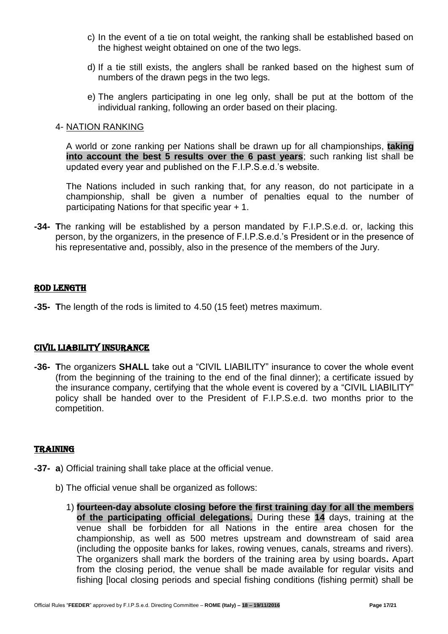- c) In the event of a tie on total weight, the ranking shall be established based on the highest weight obtained on one of the two legs.
- d) If a tie still exists, the anglers shall be ranked based on the highest sum of numbers of the drawn pegs in the two legs.
- e) The anglers participating in one leg only, shall be put at the bottom of the individual ranking, following an order based on their placing.

### 4- NATION RANKING

A world or zone ranking per Nations shall be drawn up for all championships, **taking into account the best 5 results over the 6 past years**; such ranking list shall be updated every year and published on the F.I.P.S.e.d.'s website.

The Nations included in such ranking that, for any reason, do not participate in a championship, shall be given a number of penalties equal to the number of participating Nations for that specific year + 1.

**-34- T**he ranking will be established by a person mandated by F.I.P.S.e.d. or, lacking this person, by the organizers, in the presence of F.I.P.S.e.d.'s President or in the presence of his representative and, possibly, also in the presence of the members of the Jury.

## ROD LENGTH

**-35- T**he length of the rods is limited to 4.50 (15 feet) metres maximum.

## CIVIL LIABILITY INSURANCE

**-36- T**he organizers **SHALL** take out a "CIVIL LIABILITY" insurance to cover the whole event (from the beginning of the training to the end of the final dinner); a certificate issued by the insurance company, certifying that the whole event is covered by a "CIVIL LIABILITY" policy shall be handed over to the President of F.I.P.S.e.d. two months prior to the competition.

#### TRAINING

- **-37- a**) Official training shall take place at the official venue.
	- b) The official venue shall be organized as follows:
		- 1) **fourteen-day absolute closing before the first training day for all the members of the participating official delegations.** During these **14** days, training at the venue shall be forbidden for all Nations in the entire area chosen for the championship, as well as 500 metres upstream and downstream of said area (including the opposite banks for lakes, rowing venues, canals, streams and rivers). The organizers shall mark the borders of the training area by using boards**.** Apart from the closing period, the venue shall be made available for regular visits and fishing [local closing periods and special fishing conditions (fishing permit) shall be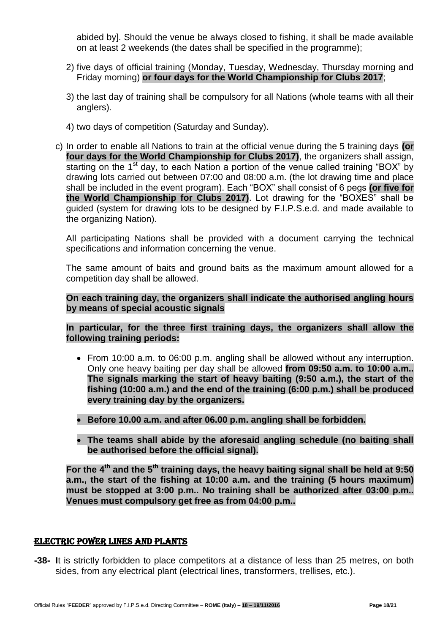abided by]. Should the venue be always closed to fishing, it shall be made available on at least 2 weekends (the dates shall be specified in the programme);

- 2) five days of official training (Monday, Tuesday, Wednesday, Thursday morning and Friday morning) **or four days for the World Championship for Clubs 2017**;
- 3) the last day of training shall be compulsory for all Nations (whole teams with all their anglers).
- 4) two days of competition (Saturday and Sunday).
- c) In order to enable all Nations to train at the official venue during the 5 training days **(or four days for the World Championship for Clubs 2017)**, the organizers shall assign, starting on the  $1<sup>st</sup>$  day, to each Nation a portion of the venue called training "BOX" by drawing lots carried out between 07:00 and 08:00 a.m. (the lot drawing time and place shall be included in the event program). Each "BOX" shall consist of 6 pegs **(or five for the World Championship for Clubs 2017)**. Lot drawing for the "BOXES" shall be guided (system for drawing lots to be designed by F.I.P.S.e.d. and made available to the organizing Nation).

All participating Nations shall be provided with a document carrying the technical specifications and information concerning the venue.

The same amount of baits and ground baits as the maximum amount allowed for a competition day shall be allowed.

**On each training day, the organizers shall indicate the authorised angling hours by means of special acoustic signals**

**In particular, for the three first training days, the organizers shall allow the following training periods:**

- From 10:00 a.m. to 06:00 p.m. angling shall be allowed without any interruption. Only one heavy baiting per day shall be allowed **from 09:50 a.m. to 10:00 a.m.. The signals marking the start of heavy baiting (9:50 a.m.), the start of the fishing (10:00 a.m.) and the end of the training (6:00 p.m.) shall be produced every training day by the organizers.**
- **Before 10.00 a.m. and after 06.00 p.m. angling shall be forbidden.**
- **The teams shall abide by the aforesaid angling schedule (no baiting shall be authorised before the official signal).**

**For the 4th and the 5th training days, the heavy baiting signal shall be held at 9:50 a.m., the start of the fishing at 10:00 a.m. and the training (5 hours maximum) must be stopped at 3:00 p.m.. No training shall be authorized after 03:00 p.m.. Venues must compulsory get free as from 04:00 p.m..**

#### ELECTRIC POWER LINES AND PLANTS

**-38- I**t is strictly forbidden to place competitors at a distance of less than 25 metres, on both sides, from any electrical plant (electrical lines, transformers, trellises, etc.).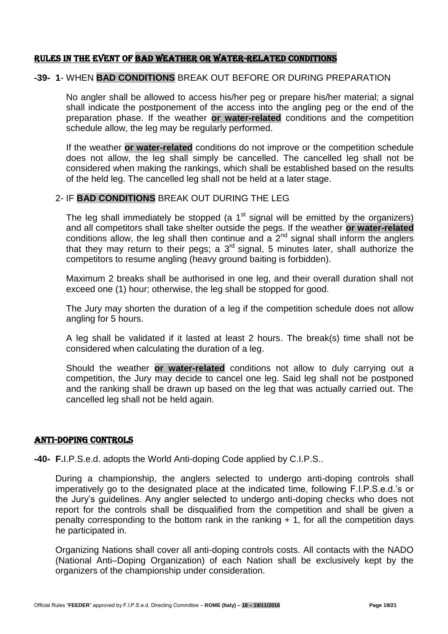#### RULES IN the event OF BAD WEATHER OR WATER-RELATED CONDITIONS

#### **-39- 1**- WHEN **BAD CONDITIONS** BREAK OUT BEFORE OR DURING PREPARATION

No angler shall be allowed to access his/her peg or prepare his/her material; a signal shall indicate the postponement of the access into the angling peg or the end of the preparation phase. If the weather **or water-related** conditions and the competition schedule allow, the leg may be regularly performed.

If the weather **or water-related** conditions do not improve or the competition schedule does not allow, the leg shall simply be cancelled. The cancelled leg shall not be considered when making the rankings, which shall be established based on the results of the held leg. The cancelled leg shall not be held at a later stage.

#### 2- IF **BAD CONDITIONS** BREAK OUT DURING THE LEG

The leg shall immediately be stopped (a  $1<sup>st</sup>$  signal will be emitted by the organizers) and all competitors shall take shelter outside the pegs. If the weather **or water-related** conditions allow, the leg shall then continue and a  $2<sup>nd</sup>$  signal shall inform the anglers that they may return to their pegs; a 3<sup>rd</sup> signal, 5 minutes later, shall authorize the competitors to resume angling (heavy ground baiting is forbidden).

Maximum 2 breaks shall be authorised in one leg, and their overall duration shall not exceed one (1) hour; otherwise, the leg shall be stopped for good.

The Jury may shorten the duration of a leg if the competition schedule does not allow angling for 5 hours.

A leg shall be validated if it lasted at least 2 hours. The break(s) time shall not be considered when calculating the duration of a leg.

Should the weather **or water-related** conditions not allow to duly carrying out a competition, the Jury may decide to cancel one leg. Said leg shall not be postponed and the ranking shall be drawn up based on the leg that was actually carried out. The cancelled leg shall not be held again.

#### ANTI-DOPING CONTROLS

**-40- F.**I.P.S.e.d. adopts the World Anti-doping Code applied by C.I.P.S..

During a championship, the anglers selected to undergo anti-doping controls shall imperatively go to the designated place at the indicated time, following F.I.P.S.e.d.'s or the Jury's guidelines. Any angler selected to undergo anti-doping checks who does not report for the controls shall be disqualified from the competition and shall be given a penalty corresponding to the bottom rank in the ranking + 1, for all the competition days he participated in.

Organizing Nations shall cover all anti-doping controls costs. All contacts with the NADO (National Anti–Doping Organization) of each Nation shall be exclusively kept by the organizers of the championship under consideration.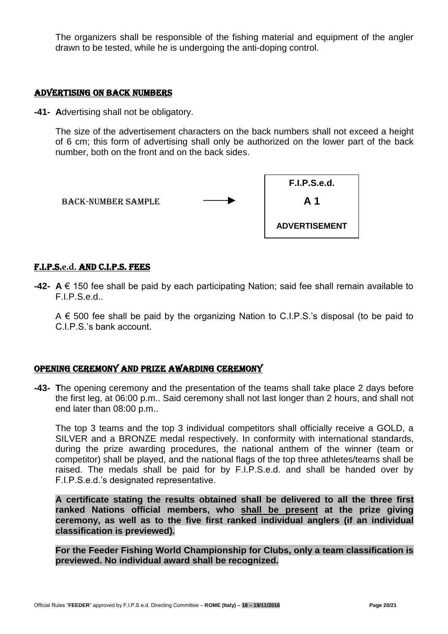The organizers shall be responsible of the fishing material and equipment of the angler drawn to be tested, while he is undergoing the anti-doping control.

#### ADVERTISING ON BACK NUMBERS

**-41- A**dvertising shall not be obligatory.

The size of the advertisement characters on the back numbers shall not exceed a height of 6 cm; this form of advertising shall only be authorized on the lower part of the back number, both on the front and on the back sides.



#### F.I.P.S.**e.d.** AND C.I.P.S. fees

**-42- A** € 150 fee shall be paid by each participating Nation; said fee shall remain available to F.I.P.S.e.d..

 $A \in 500$  fee shall be paid by the organizing Nation to C.I.P.S.'s disposal (to be paid to C.I.P.S.'s bank account.

#### OPENING CEREMONY AND PRIZE AWARDING CEREMONY

**-43- T**he opening ceremony and the presentation of the teams shall take place 2 days before the first leg, at 06:00 p.m.. Said ceremony shall not last longer than 2 hours, and shall not end later than 08:00 p.m..

The top 3 teams and the top 3 individual competitors shall officially receive a GOLD, a SILVER and a BRONZE medal respectively. In conformity with international standards, during the prize awarding procedures, the national anthem of the winner (team or competitor) shall be played, and the national flags of the top three athletes/teams shall be raised. The medals shall be paid for by F.I.P.S.e.d. and shall be handed over by F.I.P.S.e.d.'s designated representative.

**A certificate stating the results obtained shall be delivered to all the three first ranked Nations official members, who shall be present at the prize giving ceremony, as well as to the five first ranked individual anglers (if an individual classification is previewed).**

**For the Feeder Fishing World Championship for Clubs, only a team classification is previewed. No individual award shall be recognized.**